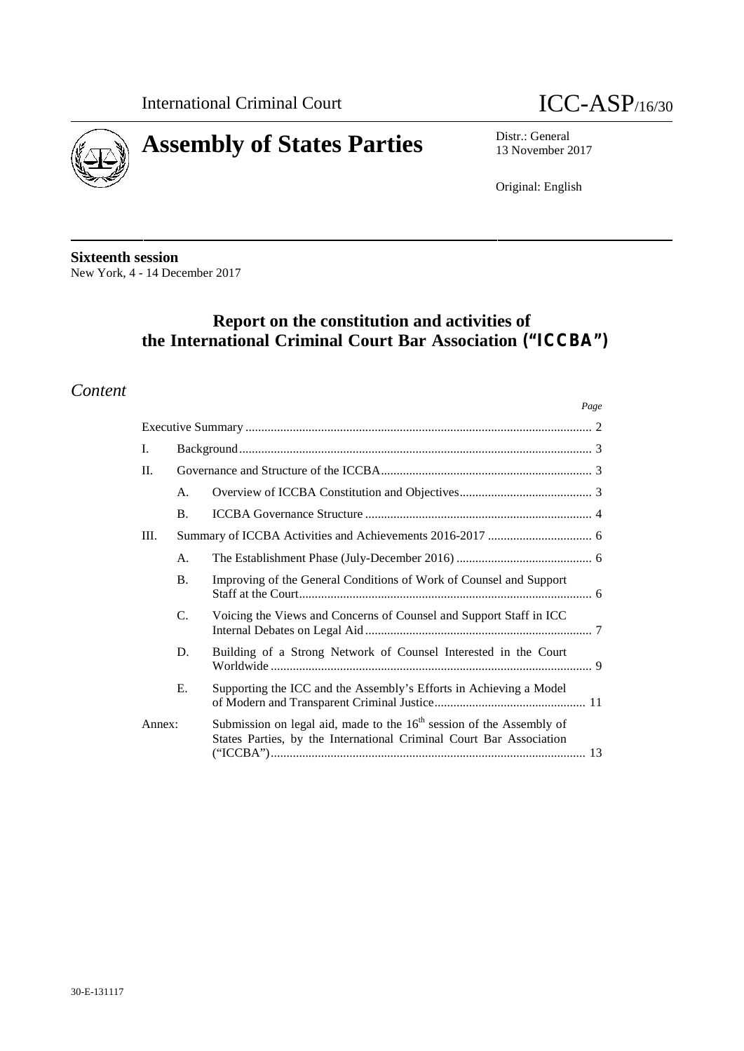

*Page*



13 November 2017

Original: English

**Sixteenth session** New York, 4 - 14 December 2017

# **Report on the constitution and activities of the International Criminal Court Bar Association ("ICCBA")**

# *Content*

| I.     |           |                                                                                                                                               |  |
|--------|-----------|-----------------------------------------------------------------------------------------------------------------------------------------------|--|
| II.    |           |                                                                                                                                               |  |
|        | A.        |                                                                                                                                               |  |
|        | <b>B.</b> |                                                                                                                                               |  |
| Ш.     |           |                                                                                                                                               |  |
|        | А.        |                                                                                                                                               |  |
|        | <b>B.</b> | Improving of the General Conditions of Work of Counsel and Support                                                                            |  |
|        | C.        | Voicing the Views and Concerns of Counsel and Support Staff in ICC                                                                            |  |
|        | D.        | Building of a Strong Network of Counsel Interested in the Court                                                                               |  |
|        | Ε.        | Supporting the ICC and the Assembly's Efforts in Achieving a Model                                                                            |  |
| Annex: |           | Submission on legal aid, made to the $16th$ session of the Assembly of<br>States Parties, by the International Criminal Court Bar Association |  |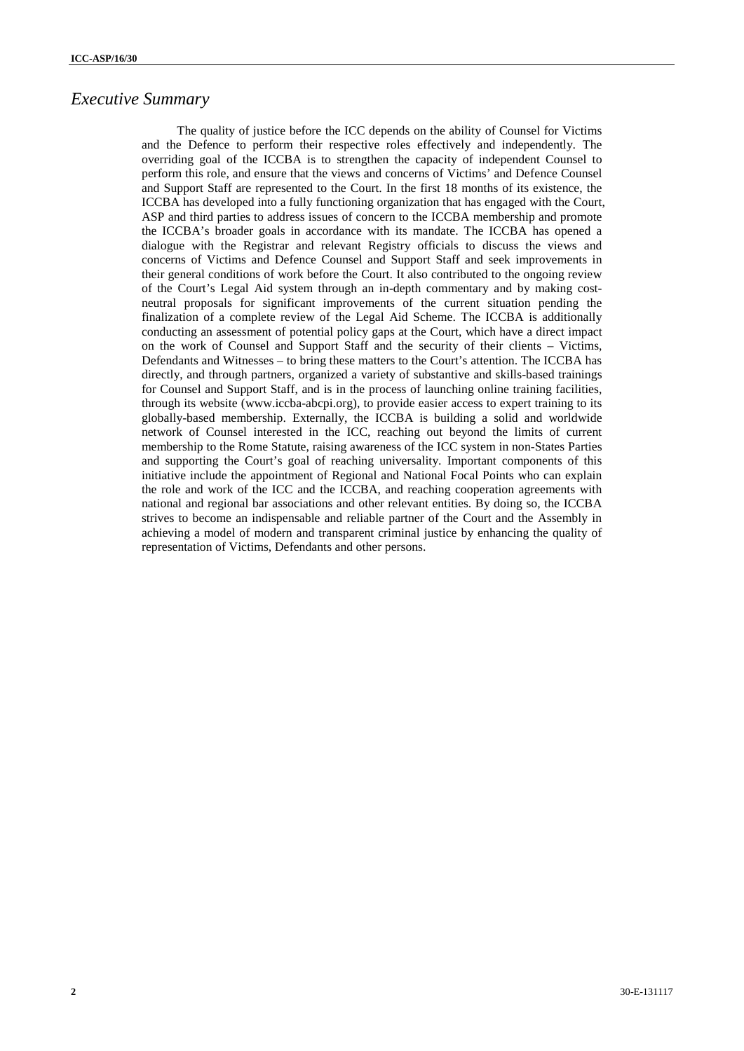## *Executive Summary*

The quality of justice before the ICC depends on the ability of Counsel for Victims and the Defence to perform their respective roles effectively and independently. The overriding goal of the ICCBA is to strengthen the capacity of independent Counsel to perform this role, and ensure that the views and concerns of Victims' and Defence Counsel and Support Staff are represented to the Court. In the first 18 months of its existence, the ICCBA has developed into a fully functioning organization that has engaged with the Court, ASP and third parties to address issues of concern to the ICCBA membership and promote the ICCBA's broader goals in accordance with its mandate. The ICCBA has opened a dialogue with the Registrar and relevant Registry officials to discuss the views and concerns of Victims and Defence Counsel and Support Staff and seek improvements in their general conditions of work before the Court. It also contributed to the ongoing review of the Court's Legal Aid system through an in-depth commentary and by making cost neutral proposals for significant improvements of the current situation pending the finalization of a complete review of the Legal Aid Scheme. The ICCBA is additionally conducting an assessment of potential policy gaps at the Court, which have a direct impact on the work of Counsel and Support Staff and the security of their clients – Victims, Defendants and Witnesses – to bring these matters to the Court's attention. The ICCBA has directly, and through partners, organized a variety of substantive and skills-based trainings for Counsel and Support Staff, and is in the process of launching online training facilities, through its website (www.iccba-abcpi.org), to provide easier access to expert training to its globally-based membership. Externally, the ICCBA is building a solid and worldwide network of Counsel interested in the ICC, reaching out beyond the limits of current membership to the Rome Statute, raising awareness of the ICC system in non-States Parties and supporting the Court's goal of reaching universality. Important components of this initiative include the appointment of Regional and National Focal Points who can explain the role and work of the ICC and the ICCBA, and reaching cooperation agreements with national and regional bar associations and other relevant entities. By doing so, the ICCBA strives to become an indispensable and reliable partner of the Court and the Assembly in achieving a model of modern and transparent criminal justice by enhancing the quality of representation of Victims, Defendants and other persons.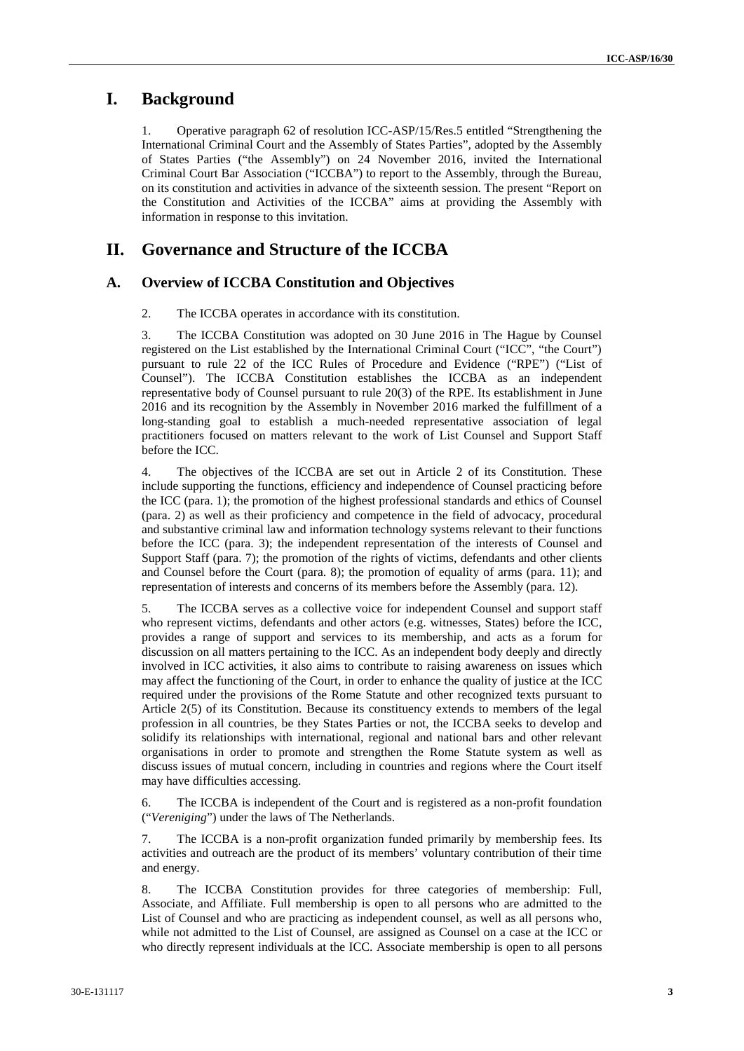## **I. Background**

1. Operative paragraph 62 of resolution ICC-ASP/15/Res.5 entitled "Strengthening the International Criminal Court and the Assembly of States Parties", adopted by the Assembly of States Parties ("the Assembly") on 24 November 2016, invited the International Criminal Court Bar Association ("ICCBA") to report to the Assembly, through the Bureau, on its constitution and activities in advance of the sixteenth session. The present "Report on the Constitution and Activities of the ICCBA" aims at providing the Assembly with information in response to this invitation.

# **II. Governance and Structure of the ICCBA**

#### **A. Overview of ICCBA Constitution and Objectives**

2. The ICCBA operates in accordance with its constitution.

3. The ICCBA Constitution was adopted on 30 June 2016 in The Hague by Counsel registered on the List established by the International Criminal Court ("ICC", "the Court") pursuant to rule 22 of the ICC Rules of Procedure and Evidence ("RPE") ("List of Counsel"). The ICCBA Constitution establishes the ICCBA as an independent representative body of Counsel pursuant to rule 20(3) of the RPE. Its establishment in June 2016 and its recognition by the Assembly in November 2016 marked the fulfillment of a long-standing goal to establish a much-needed representative association of legal practitioners focused on matters relevant to the work of List Counsel and Support Staff before the ICC.

4. The objectives of the ICCBA are set out in Article 2 of its Constitution. These include supporting the functions, efficiency and independence of Counsel practicing before the ICC (para. 1); the promotion of the highest professional standards and ethics of Counsel (para. 2) as well as their proficiency and competence in the field of advocacy, procedural and substantive criminal law and information technology systems relevant to their functions before the ICC (para. 3); the independent representation of the interests of Counsel and Support Staff (para. 7); the promotion of the rights of victims, defendants and other clients and Counsel before the Court (para. 8); the promotion of equality of arms (para. 11); and representation of interests and concerns of its members before the Assembly (para. 12).

5. The ICCBA serves as a collective voice for independent Counsel and support staff who represent victims, defendants and other actors (e.g. witnesses, States) before the ICC, provides a range of support and services to its membership, and acts as a forum for discussion on all matters pertaining to the ICC. As an independent body deeply and directly involved in ICC activities, it also aims to contribute to raising awareness on issues which may affect the functioning of the Court, in order to enhance the quality of justice at the ICC required under the provisions of the Rome Statute and other recognized texts pursuant to Article 2(5) of its Constitution. Because its constituency extends to members of the legal profession in all countries, be they States Parties or not, the ICCBA seeks to develop and solidify its relationships with international, regional and national bars and other relevant organisations in order to promote and strengthen the Rome Statute system as well as discuss issues of mutual concern, including in countries and regions where the Court itself may have difficulties accessing.

6. The ICCBA is independent of the Court and is registered as a non-profit foundation ("*Vereniging*") under the laws of The Netherlands.

7. The ICCBA is a non-profit organization funded primarily by membership fees. Its activities and outreach are the product of its members' voluntary contribution of their time and energy.

8. The ICCBA Constitution provides for three categories of membership: Full, Associate, and Affiliate. Full membership is open to all persons who are admitted to the List of Counsel and who are practicing as independent counsel, as well as all persons who, while not admitted to the List of Counsel, are assigned as Counsel on a case at the ICC or who directly represent individuals at the ICC. Associate membership is open to all persons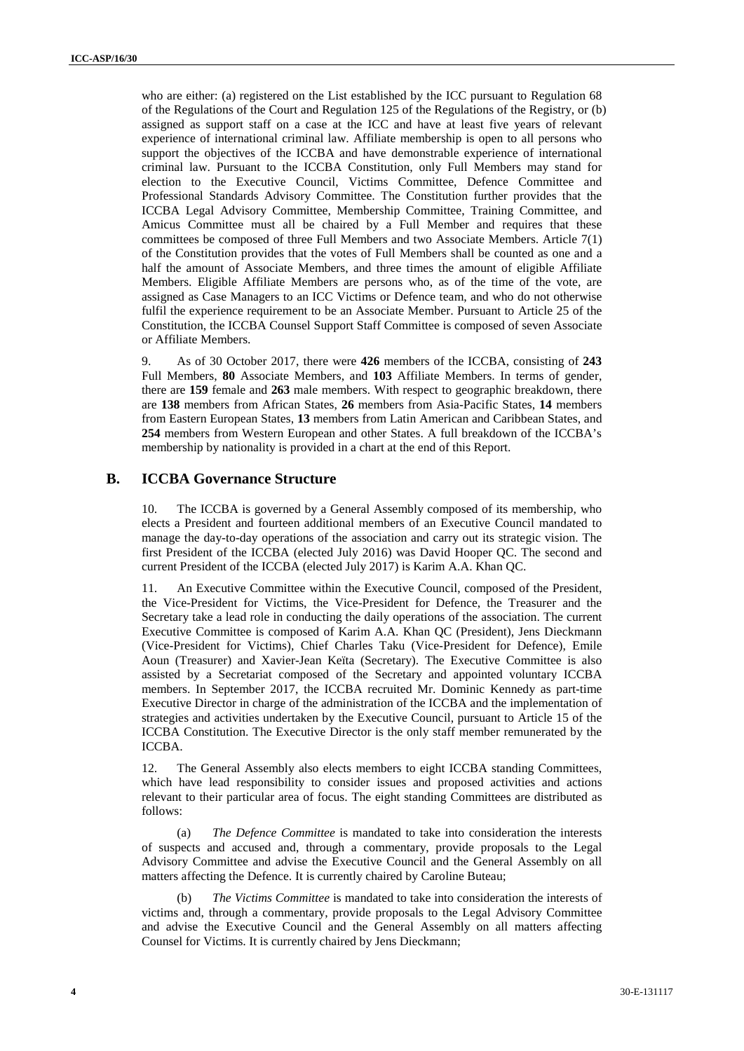who are either: (a) registered on the List established by the ICC pursuant to Regulation 68 of the Regulations of the Court and Regulation 125 of the Regulations of the Registry, or (b) assigned as support staff on a case at the ICC and have at least five years of relevant experience of international criminal law. Affiliate membership is open to all persons who support the objectives of the ICCBA and have demonstrable experience of international criminal law. Pursuant to the ICCBA Constitution, only Full Members may stand for election to the Executive Council, Victims Committee, Defence Committee and Professional Standards Advisory Committee. The Constitution further provides that the ICCBA Legal Advisory Committee, Membership Committee, Training Committee, and Amicus Committee must all be chaired by a Full Member and requires that these committees be composed of three Full Members and two Associate Members. Article 7(1) of the Constitution provides that the votes of Full Members shall be counted as one and a half the amount of Associate Members, and three times the amount of eligible Affiliate Members. Eligible Affiliate Members are persons who, as of the time of the vote, are assigned as Case Managers to an ICC Victims or Defence team, and who do not otherwise fulfil the experience requirement to be an Associate Member. Pursuant to Article 25 of the Constitution, the ICCBA Counsel Support Staff Committee is composed of seven Associate or Affiliate Members.

9. As of 30 October 2017, there were **426** members of the ICCBA, consisting of **243** Full Members, **80** Associate Members, and **103** Affiliate Members. In terms of gender, there are **159** female and **263** male members. With respect to geographic breakdown, there are **138** members from African States, **26** members from Asia-Pacific States, **14** members from Eastern European States, **13** members from Latin American and Caribbean States, and **254** members from Western European and other States. A full breakdown of the ICCBA's membership by nationality is provided in a chart at the end of this Report.

## **B. ICCBA Governance Structure**

10. The ICCBA is governed by a General Assembly composed of its membership, who elects a President and fourteen additional members of an Executive Council mandated to manage the day-to-day operations of the association and carry out its strategic vision. The first President of the ICCBA (elected July 2016) was David Hooper QC. The second and current President of the ICCBA (elected July 2017) is Karim A.A. Khan QC.

11. An Executive Committee within the Executive Council, composed of the President, the Vice-President for Victims, the Vice-President for Defence, the Treasurer and the Secretary take a lead role in conducting the daily operations of the association. The current Executive Committee is composed of Karim A.A. Khan QC (President), Jens Dieckmann (Vice-President for Victims), Chief Charles Taku (Vice-President for Defence), Emile Aoun (Treasurer) and Xavier-Jean Keïta (Secretary). The Executive Committee is also assisted by a Secretariat composed of the Secretary and appointed voluntary ICCBA members. In September 2017, the ICCBA recruited Mr. Dominic Kennedy as part-time Executive Director in charge of the administration of the ICCBA and the implementation of strategies and activities undertaken by the Executive Council, pursuant to Article 15 of the ICCBA Constitution. The Executive Director is the only staff member remunerated by the ICCBA.

12. The General Assembly also elects members to eight ICCBA standing Committees, which have lead responsibility to consider issues and proposed activities and actions relevant to their particular area of focus. The eight standing Committees are distributed as follows:

(a) *The Defence Committee* is mandated to take into consideration the interests of suspects and accused and, through a commentary, provide proposals to the Legal Advisory Committee and advise the Executive Council and the General Assembly on all matters affecting the Defence. It is currently chaired by Caroline Buteau;

(b) *The Victims Committee* is mandated to take into consideration the interests of victims and, through a commentary, provide proposals to the Legal Advisory Committee and advise the Executive Council and the General Assembly on all matters affecting Counsel for Victims. It is currently chaired by Jens Dieckmann;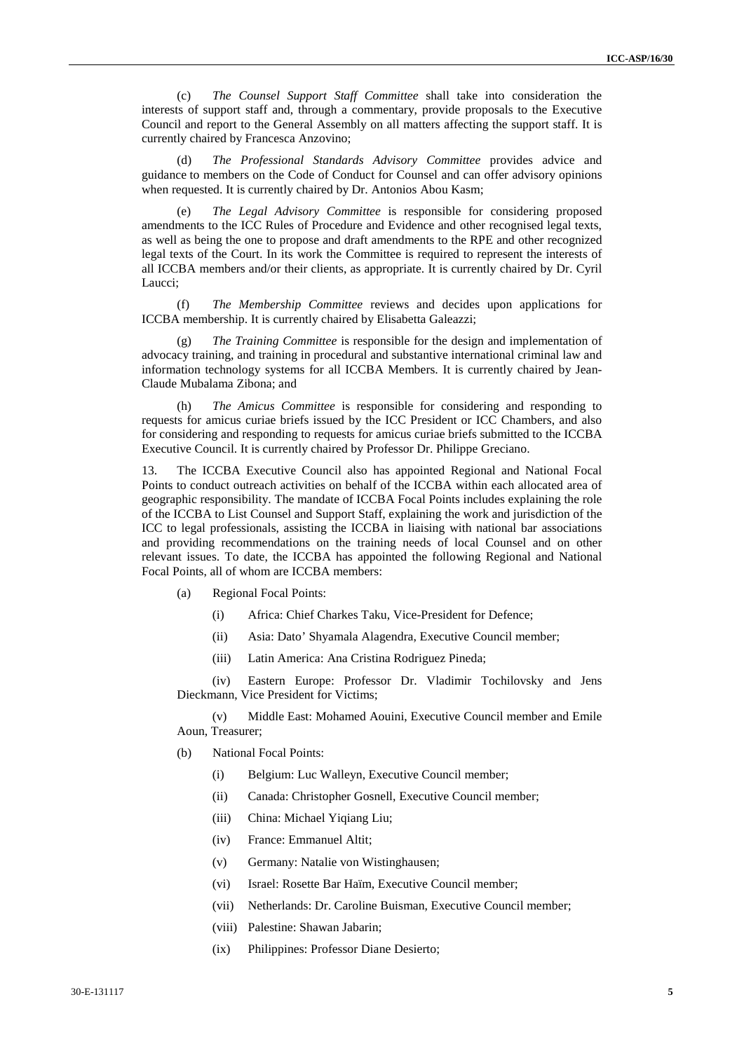(c) *The Counsel Support Staff Committee* shall take into consideration the interests of support staff and, through a commentary, provide proposals to the Executive Council and report to the General Assembly on all matters affecting the support staff. It is currently chaired by Francesca Anzovino;

(d) *The Professional Standards Advisory Committee* provides advice and guidance to members on the Code of Conduct for Counsel and can offer advisory opinions when requested. It is currently chaired by Dr. Antonios Abou Kasm;

(e) *The Legal Advisory Committee* is responsible for considering proposed amendments to the ICC Rules of Procedure and Evidence and other recognised legal texts, as well as being the one to propose and draft amendments to the RPE and other recognized legal texts of the Court. In its work the Committee is required to represent the interests of all ICCBA members and/or their clients, as appropriate. It is currently chaired by Dr. Cyril Laucci;

(f) *The Membership Committee* reviews and decides upon applications for ICCBA membership. It is currently chaired by Elisabetta Galeazzi;

The Training Committee is responsible for the design and implementation of advocacy training, and training in procedural and substantive international criminal law and information technology systems for all ICCBA Members. It is currently chaired by Jean- Claude Mubalama Zibona; and

(h) *The Amicus Committee* is responsible for considering and responding to requests for amicus curiae briefs issued by the ICC President or ICC Chambers, and also for considering and responding to requests for amicus curiae briefs submitted to the ICCBA Executive Council. It is currently chaired by Professor Dr. Philippe Greciano.

13. The ICCBA Executive Council also has appointed Regional and National Focal Points to conduct outreach activities on behalf of the ICCBA within each allocated area of geographic responsibility. The mandate of ICCBA Focal Points includes explaining the role of the ICCBA to List Counsel and Support Staff, explaining the work and jurisdiction of the ICC to legal professionals, assisting the ICCBA in liaising with national bar associations and providing recommendations on the training needs of local Counsel and on other relevant issues. To date, the ICCBA has appointed the following Regional and National Focal Points, all of whom are ICCBA members:

- (a) Regional Focal Points:
	- (i) Africa: Chief Charkes Taku, Vice-President for Defence;
	- (ii) Asia: Dato' Shyamala Alagendra, Executive Council member;
	- (iii) Latin America: Ana Cristina Rodriguez Pineda;

(iv) Eastern Europe: Professor Dr. Vladimir Tochilovsky and Jens Dieckmann, Vice President for Victims;

(v) Middle East: Mohamed Aouini, Executive Council member and Emile Aoun, Treasurer;

- (b) National Focal Points:
	- (i) Belgium: Luc Walleyn, Executive Council member;
	- (ii) Canada: Christopher Gosnell, Executive Council member;
	- (iii) China: Michael Yiqiang Liu;
	- (iv) France: Emmanuel Altit;
	- (v) Germany: Natalie von Wistinghausen;
	- (vi) Israel: Rosette Bar Haïm, Executive Council member;
	- (vii) Netherlands: Dr. Caroline Buisman, Executive Council member;
	- (viii) Palestine: Shawan Jabarin;
	- (ix) Philippines: Professor Diane Desierto;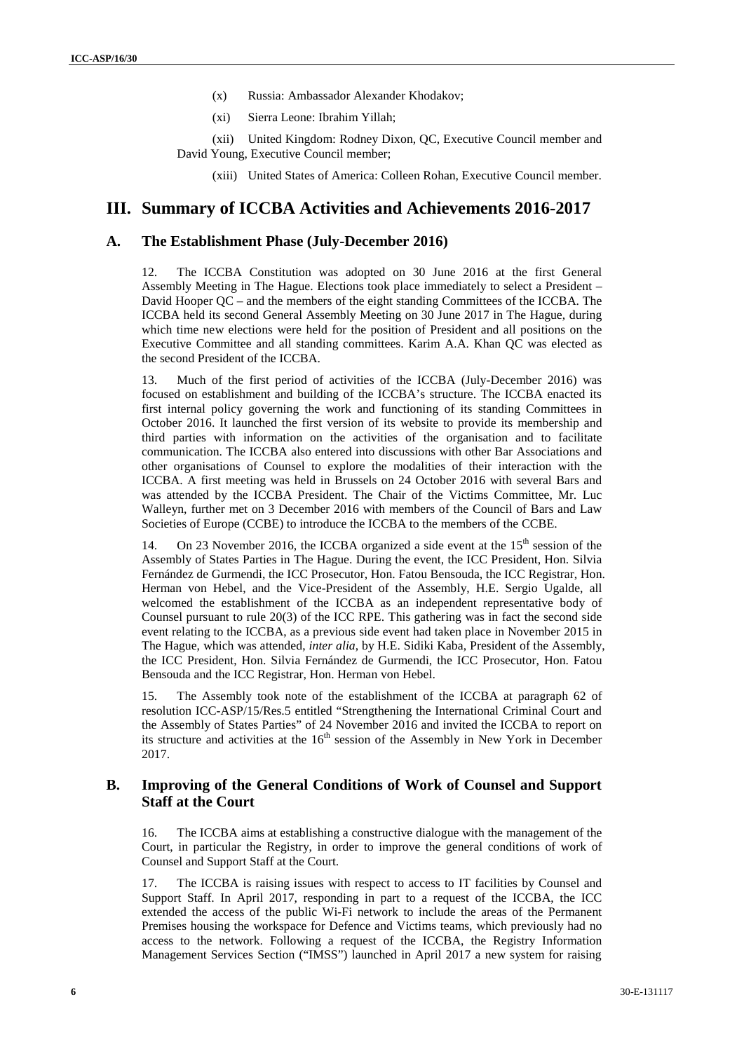- (x) Russia: Ambassador Alexander Khodakov;
- (xi) Sierra Leone: Ibrahim Yillah;
- (xii) United Kingdom: Rodney Dixon, QC, Executive Council member and David Young, Executive Council member;

(xiii) United States of America: Colleen Rohan, Executive Council member.

## **III. Summary of ICCBA Activities and Achievements 2016-2017**

#### **A. The Establishment Phase (July-December 2016)**

12. The ICCBA Constitution was adopted on 30 June 2016 at the first General Assembly Meeting in The Hague. Elections took place immediately to select a President – David Hooper QC – and the members of the eight standing Committees of the ICCBA. The ICCBA held its second General Assembly Meeting on 30 June 2017 in The Hague, during which time new elections were held for the position of President and all positions on the Executive Committee and all standing committees. Karim A.A. Khan QC was elected as the second President of the ICCBA.

13. Much of the first period of activities of the ICCBA (July-December 2016) was focused on establishment and building of the ICCBA's structure. The ICCBA enacted its first internal policy governing the work and functioning of its standing Committees in October 2016. It launched the first version of its website to provide its membership and third parties with information on the activities of the organisation and to facilitate communication. The ICCBA also entered into discussions with other Bar Associations and other organisations of Counsel to explore the modalities of their interaction with the ICCBA. A first meeting was held in Brussels on 24 October 2016 with several Bars and was attended by the ICCBA President. The Chair of the Victims Committee, Mr. Luc Walleyn, further met on 3 December 2016 with members of the Council of Bars and Law Societies of Europe (CCBE) to introduce the ICCBA to the members of the CCBE.

14. On 23 November 2016, the ICCBA organized a side event at the  $15<sup>th</sup>$  session of the Assembly of States Parties in The Hague. During the event, the ICC President, Hon. Silvia Fernández de Gurmendi, the ICC Prosecutor, Hon. Fatou Bensouda, the ICC Registrar, Hon. Herman von Hebel, and the Vice-President of the Assembly, H.E. Sergio Ugalde, all welcomed the establishment of the ICCBA as an independent representative body of Counsel pursuant to rule 20(3) of the ICC RPE. This gathering was in fact the second side event relating to the ICCBA, as a previous side event had taken place in November 2015 in The Hague, which was attended, *inter alia*, by H.E. Sidiki Kaba, President of the Assembly, the ICC President, Hon. Silvia Fernández de Gurmendi, the ICC Prosecutor, Hon. Fatou Bensouda and the ICC Registrar, Hon. Herman von Hebel.

15. The Assembly took note of the establishment of the ICCBA at paragraph 62 of resolution ICC-ASP/15/Res.5 entitled "Strengthening the International Criminal Court and the Assembly of States Parties" of 24 November 2016 and invited the ICCBA to report on its structure and activities at the  $16<sup>th</sup>$  session of the Assembly in New York in December 2017.

#### **B. Improving of the General Conditions of Work of Counsel and Support Staff at the Court**

16. The ICCBA aims at establishing a constructive dialogue with the management of the Court, in particular the Registry, in order to improve the general conditions of work of Counsel and Support Staff at the Court.

17. The ICCBA is raising issues with respect to access to IT facilities by Counsel and Support Staff. In April 2017, responding in part to a request of the ICCBA, the ICC extended the access of the public Wi-Fi network to include the areas of the Permanent Premises housing the workspace for Defence and Victims teams, which previously had no access to the network. Following a request of the ICCBA, the Registry Information Management Services Section ("IMSS") launched in April 2017 a new system for raising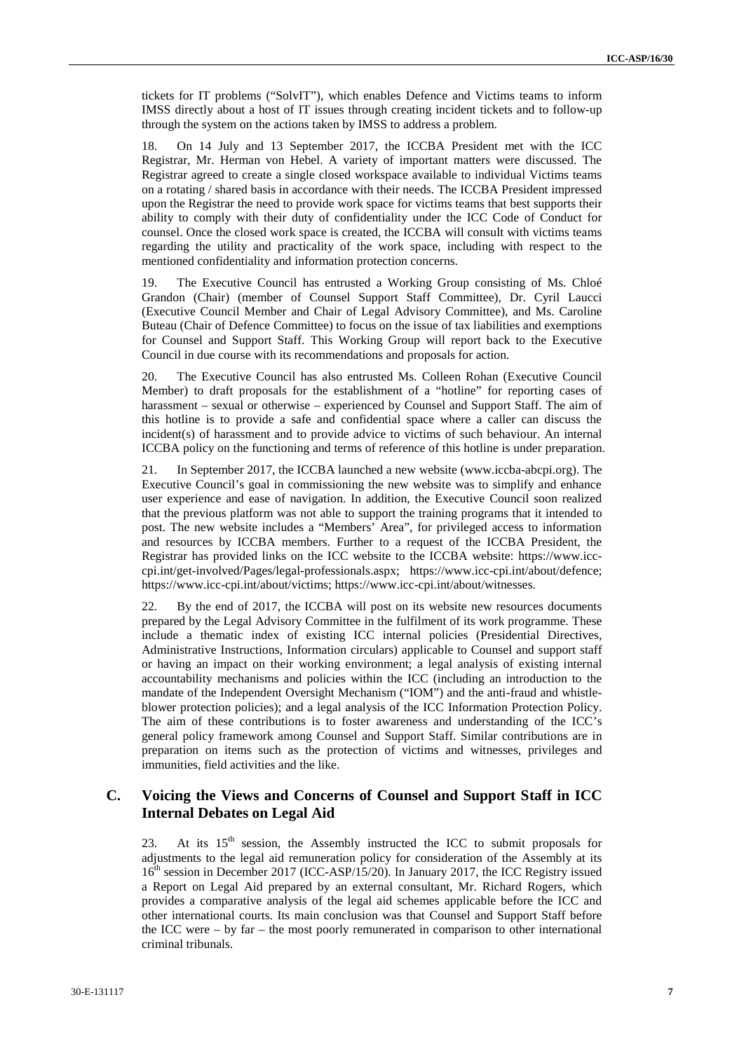tickets for IT problems ("SolvIT"), which enables Defence and Victims teams to inform IMSS directly about a host of IT issues through creating incident tickets and to follow-up through the system on the actions taken by IMSS to address a problem.

18. On 14 July and 13 September 2017, the ICCBA President met with the ICC Registrar, Mr. Herman von Hebel. A variety of important matters were discussed. The Registrar agreed to create a single closed workspace available to individual Victims teams on a rotating / shared basis in accordance with their needs. The ICCBA President impressed upon the Registrar the need to provide work space for victims teams that best supports their ability to comply with their duty of confidentiality under the ICC Code of Conduct for counsel. Once the closed work space is created, the ICCBA will consult with victims teams regarding the utility and practicality of the work space, including with respect to the mentioned confidentiality and information protection concerns.

19. The Executive Council has entrusted a Working Group consisting of Ms. Chloé Grandon (Chair) (member of Counsel Support Staff Committee), Dr. Cyril Laucci (Executive Council Member and Chair of Legal Advisory Committee), and Ms. Caroline Buteau (Chair of Defence Committee) to focus on the issue of tax liabilities and exemptions for Counsel and Support Staff. This Working Group will report back to the Executive Council in due course with its recommendations and proposals for action.

20. The Executive Council has also entrusted Ms. Colleen Rohan (Executive Council Member) to draft proposals for the establishment of a "hotline" for reporting cases of harassment – sexual or otherwise – experienced by Counsel and Support Staff. The aim of this hotline is to provide a safe and confidential space where a caller can discuss the incident(s) of harassment and to provide advice to victims of such behaviour. An internal ICCBA policy on the functioning and terms of reference of this hotline is under preparation.

21. In September 2017, the ICCBA launched a new website (www.iccba-abcpi.org). The Executive Council's goal in commissioning the new website was to simplify and enhance user experience and ease of navigation. In addition, the Executive Council soon realized that the previous platform was not able to support the training programs that it intended to post. The new website includes a "Members' Area", for privileged access to information and resources by ICCBA members. Further to a request of the ICCBA President, the Registrar has provided links on the ICC website to the ICCBA website: https://www.icc cpi.int/get-involved/Pages/legal-professionals.aspx; https://www.icc-cpi.int/about/defence; https://www.icc-cpi.int/about/victims; https://www.icc-cpi.int/about/witnesses.

22. By the end of 2017, the ICCBA will post on its website new resources documents prepared by the Legal Advisory Committee in the fulfilment of its work programme. These include a thematic index of existing ICC internal policies (Presidential Directives, Administrative Instructions, Information circulars) applicable to Counsel and support staff or having an impact on their working environment; a legal analysis of existing internal accountability mechanisms and policies within the ICC (including an introduction to the mandate of the Independent Oversight Mechanism ("IOM") and the anti-fraud and whistle blower protection policies); and a legal analysis of the ICC Information Protection Policy. The aim of these contributions is to foster awareness and understanding of the ICC's general policy framework among Counsel and Support Staff. Similar contributions are in preparation on items such as the protection of victims and witnesses, privileges and immunities, field activities and the like.

## **C. Voicing the Views and Concerns of Counsel and Support Staff in ICC Internal Debates on Legal Aid**

23. At its  $15<sup>th</sup>$  session, the Assembly instructed the ICC to submit proposals for adjustments to the legal aid remuneration policy for consideration of the Assembly at its  $16<sup>th</sup>$  session in December 2017 (ICC-ASP/15/20). In January 2017, the ICC Registry issued a Report on Legal Aid prepared by an external consultant, Mr. Richard Rogers, which provides a comparative analysis of the legal aid schemes applicable before the ICC and other international courts. Its main conclusion was that Counsel and Support Staff before the ICC were – by far – the most poorly remunerated in comparison to other international criminal tribunals.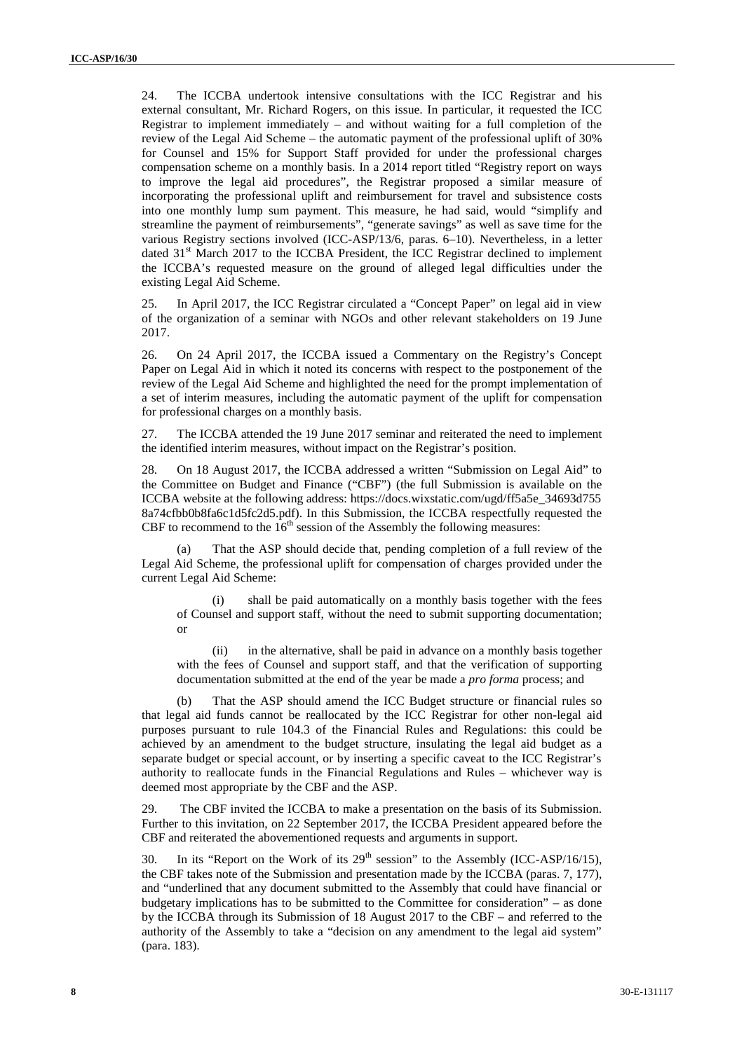24. The ICCBA undertook intensive consultations with the ICC Registrar and his external consultant, Mr. Richard Rogers, on this issue. In particular, it requested the ICC Registrar to implement immediately – and without waiting for a full completion of the review of the Legal Aid Scheme – the automatic payment of the professional uplift of 30% for Counsel and 15% for Support Staff provided for under the professional charges compensation scheme on a monthly basis. In a 2014 report titled "Registry report on ways to improve the legal aid procedures", the Registrar proposed a similar measure of incorporating the professional uplift and reimbursement for travel and subsistence costs into one monthly lump sum payment. This measure, he had said, would "simplify and streamline the payment of reimbursements", "generate savings" as well as save time for the various Registry sections involved (ICC-ASP/13/6, paras. 6–10). Nevertheless, in a letter dated  $31<sup>st</sup>$  March 2017 to the ICCBA President, the ICC Registrar declined to implement the ICCBA's requested measure on the ground of alleged legal difficulties under the existing Legal Aid Scheme.

25. In April 2017, the ICC Registrar circulated a "Concept Paper" on legal aid in view of the organization of a seminar with NGOs and other relevant stakeholders on 19 June 2017.

26. On 24 April 2017, the ICCBA issued a Commentary on the Registry's Concept Paper on Legal Aid in which it noted its concerns with respect to the postponement of the review of the Legal Aid Scheme and highlighted the need for the prompt implementation of a set of interim measures, including the automatic payment of the uplift for compensation for professional charges on a monthly basis.

27. The ICCBA attended the 19 June 2017 seminar and reiterated the need to implement the identified interim measures, without impact on the Registrar's position.

28. On 18 August 2017, the ICCBA addressed a written "Submission on Legal Aid" to the Committee on Budget and Finance ("CBF") (the full Submission is available on the ICCBA website at the following address: https://docs.wixstatic.com/ugd/ff5a5e\_34693d755 8a74cfbb0b8fa6c1d5fc2d5.pdf). In this Submission, the ICCBA respectfully requested the CBF to recommend to the  $16<sup>th</sup>$  session of the Assembly the following measures:

That the ASP should decide that, pending completion of a full review of the Legal Aid Scheme, the professional uplift for compensation of charges provided under the current Legal Aid Scheme:

(i) shall be paid automatically on a monthly basis together with the fees of Counsel and support staff, without the need to submit supporting documentation; or

(ii) in the alternative, shall be paid in advance on a monthly basis together with the fees of Counsel and support staff, and that the verification of supporting documentation submitted at the end of the year be made a *pro forma* process; and

(b) That the ASP should amend the ICC Budget structure or financial rules so that legal aid funds cannot be reallocated by the ICC Registrar for other non-legal aid purposes pursuant to rule 104.3 of the Financial Rules and Regulations: this could be achieved by an amendment to the budget structure, insulating the legal aid budget as a separate budget or special account, or by inserting a specific caveat to the ICC Registrar's authority to reallocate funds in the Financial Regulations and Rules – whichever way is deemed most appropriate by the CBF and the ASP.

29. The CBF invited the ICCBA to make a presentation on the basis of its Submission. Further to this invitation, on 22 September 2017, the ICCBA President appeared before the CBF and reiterated the abovementioned requests and arguments in support.

30. In its "Report on the Work of its  $29<sup>th</sup>$  session" to the Assembly (ICC-ASP/16/15), the CBF takes note of the Submission and presentation made by the ICCBA (paras. 7, 177), and "underlined that any document submitted to the Assembly that could have financial or budgetary implications has to be submitted to the Committee for consideration" – as done by the ICCBA through its Submission of 18 August 2017 to the CBF – and referred to the authority of the Assembly to take a "decision on any amendment to the legal aid system" (para. 183).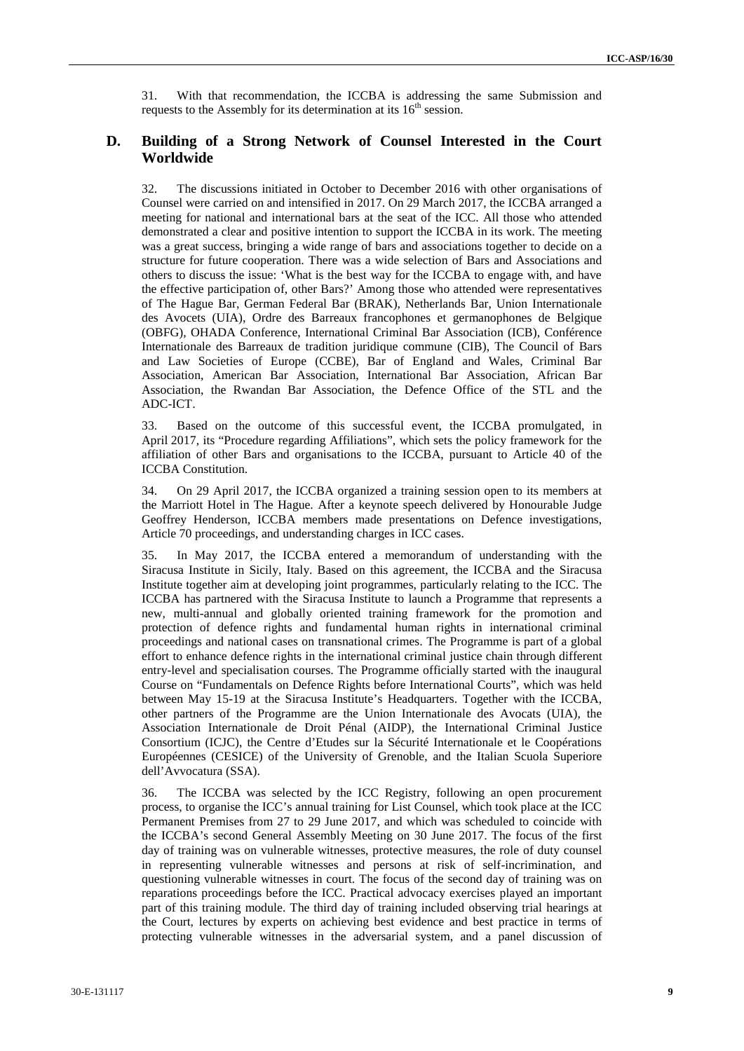31. With that recommendation, the ICCBA is addressing the same Submission and requests to the Assembly for its determination at its  $16<sup>th</sup>$  session.

#### **D. Building of a Strong Network of Counsel Interested in the Court Worldwide**

32. The discussions initiated in October to December 2016 with other organisations of Counsel were carried on and intensified in 2017. On 29 March 2017, the ICCBA arranged a meeting for national and international bars at the seat of the ICC. All those who attended demonstrated a clear and positive intention to support the ICCBA in its work. The meeting was a great success, bringing a wide range of bars and associations together to decide on a structure for future cooperation. There was a wide selection of Bars and Associations and others to discuss the issue: 'What is the best way for the ICCBA to engage with, and have the effective participation of, other Bars?' Among those who attended were representatives of The Hague Bar, German Federal Bar (BRAK), Netherlands Bar, Union Internationale des Avocets (UIA), Ordre des Barreaux francophones et germanophones de Belgique (OBFG), OHADA Conference, International Criminal Bar Association (ICB), Conférence Internationale des Barreaux de tradition juridique commune (CIB), The Council of Bars and Law Societies of Europe (CCBE), Bar of England and Wales, Criminal Bar Association, American Bar Association, International Bar Association, African Bar Association, the Rwandan Bar Association, the Defence Office of the STL and the ADC-ICT.

33. Based on the outcome of this successful event, the ICCBA promulgated, in April 2017, its "Procedure regarding Affiliations", which sets the policy framework for the affiliation of other Bars and organisations to the ICCBA, pursuant to Article 40 of the ICCBA Constitution.

34. On 29 April 2017, the ICCBA organized a training session open to its members at the Marriott Hotel in The Hague. After a keynote speech delivered by Honourable Judge Geoffrey Henderson, ICCBA members made presentations on Defence investigations, Article 70 proceedings, and understanding charges in ICC cases.

35. In May 2017, the ICCBA entered a memorandum of understanding with the Siracusa Institute in Sicily, Italy. Based on this agreement, the ICCBA and the Siracusa Institute together aim at developing joint programmes, particularly relating to the ICC. The ICCBA has partnered with the Siracusa Institute to launch a Programme that represents a new, multi-annual and globally oriented training framework for the promotion and protection of defence rights and fundamental human rights in international criminal proceedings and national cases on transnational crimes. The Programme is part of a global effort to enhance defence rights in the international criminal justice chain through different entry-level and specialisation courses. The Programme officially started with the inaugural Course on "Fundamentals on Defence Rights before International Courts", which was held between May 15-19 at the Siracusa Institute's Headquarters. Together with the ICCBA, other partners of the Programme are the Union Internationale des Avocats (UIA), the Association Internationale de Droit Pénal (AIDP), the International Criminal Justice Consortium (ICJC), the Centre d'Etudes sur la Sécurité Internationale et le Coopérations Européennes (CESICE) of the University of Grenoble, and the Italian Scuola Superiore dell'Avvocatura (SSA).

36. The ICCBA was selected by the ICC Registry, following an open procurement process, to organise the ICC's annual training for List Counsel, which took place at the ICC Permanent Premises from 27 to 29 June 2017, and which was scheduled to coincide with the ICCBA's second General Assembly Meeting on 30 June 2017. The focus of the first day of training was on vulnerable witnesses, protective measures, the role of duty counsel in representing vulnerable witnesses and persons at risk of self-incrimination, and questioning vulnerable witnesses in court. The focus of the second day of training was on reparations proceedings before the ICC. Practical advocacy exercises played an important part of this training module. The third day of training included observing trial hearings at the Court, lectures by experts on achieving best evidence and best practice in terms of protecting vulnerable witnesses in the adversarial system, and a panel discussion of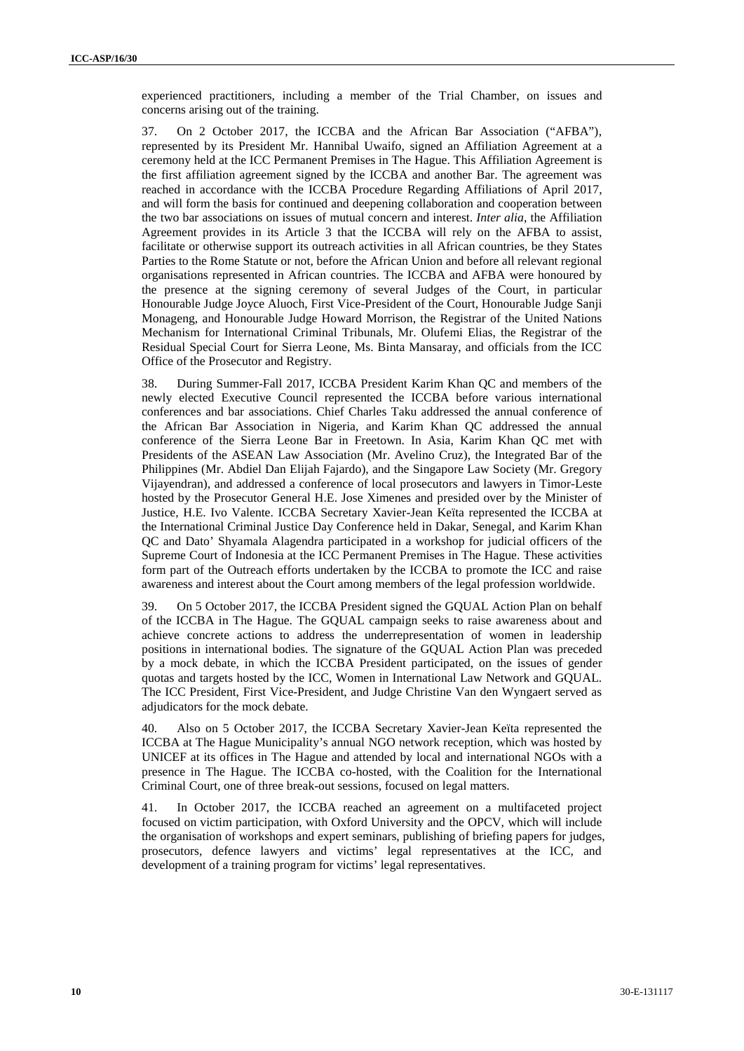experienced practitioners, including a member of the Trial Chamber, on issues and concerns arising out of the training.

37. On 2 October 2017, the ICCBA and the African Bar Association ("AFBA"), represented by its President Mr. Hannibal Uwaifo, signed an Affiliation Agreement at a ceremony held at the ICC Permanent Premises in The Hague. This Affiliation Agreement is the first affiliation agreement signed by the ICCBA and another Bar. The agreement was reached in accordance with the ICCBA Procedure Regarding Affiliations of April 2017, and will form the basis for continued and deepening collaboration and cooperation between the two bar associations on issues of mutual concern and interest. *Inter alia*, the Affiliation Agreement provides in its Article 3 that the ICCBA will rely on the AFBA to assist, facilitate or otherwise support its outreach activities in all African countries, be they States Parties to the Rome Statute or not, before the African Union and before all relevant regional organisations represented in African countries. The ICCBA and AFBA were honoured by the presence at the signing ceremony of several Judges of the Court, in particular Honourable Judge Joyce Aluoch, First Vice-President of the Court, Honourable Judge Sanji Monageng, and Honourable Judge Howard Morrison, the Registrar of the United Nations Mechanism for International Criminal Tribunals, Mr. Olufemi Elias, the Registrar of the Residual Special Court for Sierra Leone, Ms. Binta Mansaray, and officials from the ICC Office of the Prosecutor and Registry.

38. During Summer-Fall 2017, ICCBA President Karim Khan QC and members of the newly elected Executive Council represented the ICCBA before various international conferences and bar associations. Chief Charles Taku addressed the annual conference of the African Bar Association in Nigeria, and Karim Khan QC addressed the annual conference of the Sierra Leone Bar in Freetown. In Asia, Karim Khan QC met with Presidents of the ASEAN Law Association (Mr. Avelino Cruz), the Integrated Bar of the Philippines (Mr. Abdiel Dan Elijah Fajardo), and the Singapore Law Society (Mr. Gregory Vijayendran), and addressed a conference of local prosecutors and lawyers in Timor-Leste hosted by the Prosecutor General H.E. Jose Ximenes and presided over by the Minister of Justice, H.E. Ivo Valente. ICCBA Secretary Xavier-Jean Keïta represented the ICCBA at the International Criminal Justice Day Conference held in Dakar, Senegal, and Karim Khan QC and Dato' Shyamala Alagendra participated in a workshop for judicial officers of the Supreme Court of Indonesia at the ICC Permanent Premises in The Hague. These activities form part of the Outreach efforts undertaken by the ICCBA to promote the ICC and raise awareness and interest about the Court among members of the legal profession worldwide.

39. On 5 October 2017, the ICCBA President signed the GQUAL Action Plan on behalf of the ICCBA in The Hague. The GQUAL campaign seeks to raise awareness about and achieve concrete actions to address the underrepresentation of women in leadership positions in international bodies. The signature of the GQUAL Action Plan was preceded by a mock debate, in which the ICCBA President participated, on the issues of gender quotas and targets hosted by the ICC, Women in International Law Network and GQUAL. The ICC President, First Vice-President, and Judge Christine Van den Wyngaert served as adjudicators for the mock debate.

40. Also on 5 October 2017, the ICCBA Secretary Xavier-Jean Keïta represented the ICCBA at The Hague Municipality's annual NGO network reception, which was hosted by UNICEF at its offices in The Hague and attended by local and international NGOs with a presence in The Hague. The ICCBA co-hosted, with the Coalition for the International Criminal Court, one of three break-out sessions, focused on legal matters.

41. In October 2017, the ICCBA reached an agreement on a multifaceted project focused on victim participation, with Oxford University and the OPCV, which will include the organisation of workshops and expert seminars, publishing of briefing papers for judges, prosecutors, defence lawyers and victims' legal representatives at the ICC, and development of a training program for victims' legal representatives.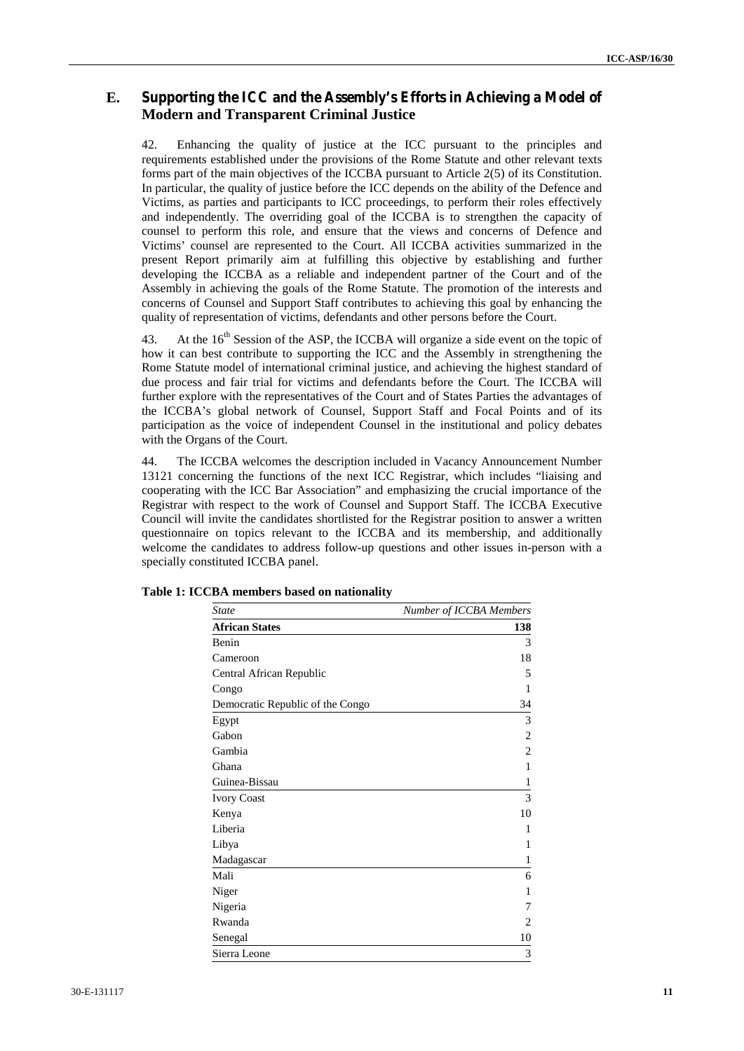## **E. Supporting the ICC and the Assembly's Efforts in Achieving a Model of Modern and Transparent Criminal Justice**

42. Enhancing the quality of justice at the ICC pursuant to the principles and requirements established under the provisions of the Rome Statute and other relevant texts forms part of the main objectives of the ICCBA pursuant to Article 2(5) of its Constitution. In particular, the quality of justice before the ICC depends on the ability of the Defence and Victims, as parties and participants to ICC proceedings, to perform their roles effectively and independently. The overriding goal of the ICCBA is to strengthen the capacity of counsel to perform this role, and ensure that the views and concerns of Defence and Victims' counsel are represented to the Court. All ICCBA activities summarized in the present Report primarily aim at fulfilling this objective by establishing and further developing the ICCBA as a reliable and independent partner of the Court and of the Assembly in achieving the goals of the Rome Statute. The promotion of the interests and concerns of Counsel and Support Staff contributes to achieving this goal by enhancing the quality of representation of victims, defendants and other persons before the Court.

43. At the 16<sup>th</sup> Session of the ASP, the ICCBA will organize a side event on the topic of how it can best contribute to supporting the ICC and the Assembly in strengthening the Rome Statute model of international criminal justice, and achieving the highest standard of due process and fair trial for victims and defendants before the Court. The ICCBA will further explore with the representatives of the Court and of States Parties the advantages of the ICCBA's global network of Counsel, Support Staff and Focal Points and of its participation as the voice of independent Counsel in the institutional and policy debates with the Organs of the Court.

44. The ICCBA welcomes the description included in Vacancy Announcement Number 13121 concerning the functions of the next ICC Registrar, which includes "liaising and cooperating with the ICC Bar Association" and emphasizing the crucial importance of the Registrar with respect to the work of Counsel and Support Staff. The ICCBA Executive Council will invite the candidates shortlisted for the Registrar position to answer a written questionnaire on topics relevant to the ICCBA and its membership, and additionally welcome the candidates to address follow-up questions and other issues in-person with a specially constituted ICCBA panel.

| <b>State</b>                     | Number of ICCBA Members |  |
|----------------------------------|-------------------------|--|
| <b>African States</b>            | 138                     |  |
| Benin                            | 3                       |  |
| Cameroon                         | 18                      |  |
| Central African Republic         | 5                       |  |
| Congo                            | 1                       |  |
| Democratic Republic of the Congo | 34                      |  |
| Egypt                            | 3                       |  |
| Gabon                            | $\overline{c}$          |  |
| Gambia                           | $\overline{c}$          |  |
| Ghana                            | 1                       |  |
| Guinea-Bissau                    | 1                       |  |
| <b>Ivory Coast</b>               | 3                       |  |
| Kenya                            | 10                      |  |
| Liberia                          | 1                       |  |
| Libya                            | 1                       |  |
| Madagascar                       | 1                       |  |
| Mali                             | 6                       |  |
| Niger                            | 1                       |  |
| Nigeria                          | 7                       |  |
| Rwanda                           | 2                       |  |
| Senegal                          | 10                      |  |
| Sierra Leone                     | 3                       |  |

| Table 1: ICCBA members based on nationality |  |
|---------------------------------------------|--|
|---------------------------------------------|--|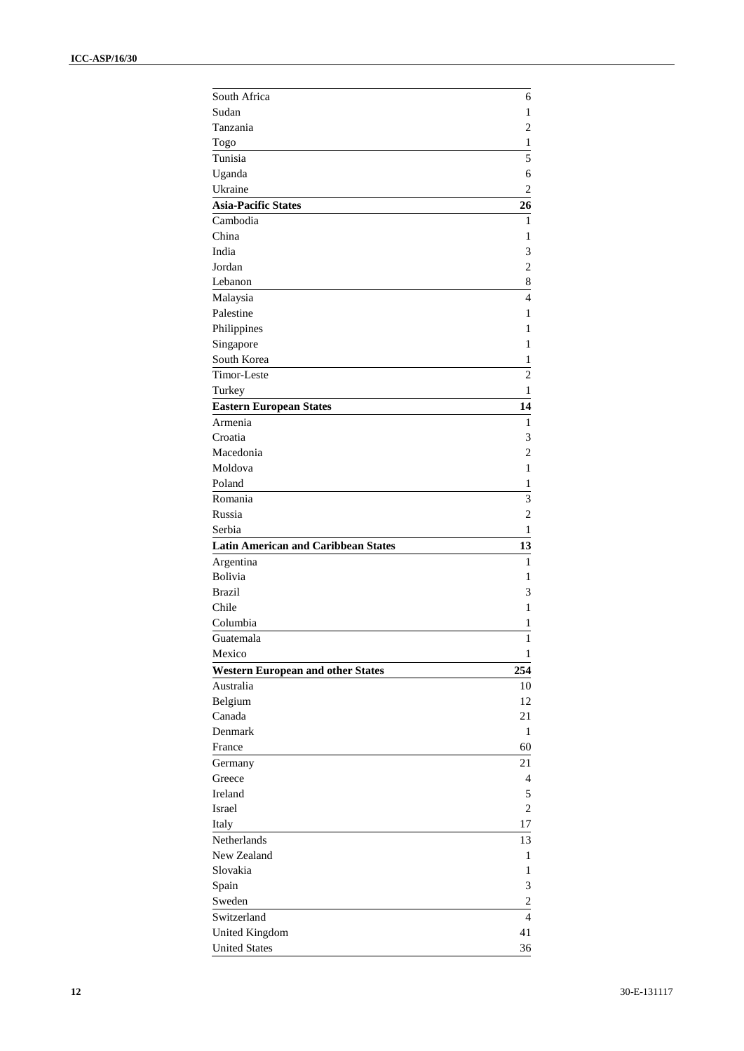| South Africa                               | 6                |
|--------------------------------------------|------------------|
| Sudan                                      | 1                |
| Tanzania                                   | 2                |
| Togo                                       | 1                |
| Tunisia                                    | 5                |
| Uganda                                     | 6                |
| Ukraine                                    | $\overline{2}$   |
| <b>Asia-Pacific States</b>                 | 26               |
| Cambodia                                   | 1                |
| China                                      | 1                |
| India                                      | 3                |
| Jordan                                     | $\overline{2}$   |
| Lebanon                                    | 8                |
| Malaysia                                   | $\overline{4}$   |
| Palestine                                  | 1                |
| Philippines                                | 1                |
| Singapore                                  | 1                |
| South Korea                                | 1                |
| Timor-Leste                                | $\overline{2}$   |
| Turkey                                     | $\mathbf{1}$     |
|                                            | 14               |
| <b>Eastern European States</b><br>Armenia  |                  |
| Croatia                                    | 1                |
|                                            | 3                |
| Macedonia<br>Moldova                       | 2                |
|                                            | 1                |
| Poland                                     | 1                |
| Romania<br>Russia                          | 3                |
|                                            | 2<br>1           |
|                                            |                  |
| Serbia                                     |                  |
| <b>Latin American and Caribbean States</b> | 13               |
| Argentina                                  | 1                |
| <b>Bolivia</b>                             | 1                |
| <b>Brazil</b>                              | 3                |
| Chile                                      | 1                |
| Columbia                                   | 1                |
| Guatemala                                  | 1                |
| Mexico                                     | 1                |
| <b>Western European and other States</b>   | 254              |
| Australia                                  | 10               |
| Belgium                                    | 12               |
| Canada                                     | 21               |
| Denmark                                    | $\mathbf{1}$     |
| France                                     | 60               |
| Germany                                    | 21               |
| Greece                                     | $\overline{4}$   |
| Ireland                                    | 5                |
| Israel                                     | $\overline{2}$   |
| Italy                                      | 17               |
| Netherlands                                | 13               |
| New Zealand                                | 1                |
| Slovakia                                   | 1                |
| Spain                                      | 3                |
| Sweden                                     | $\boldsymbol{2}$ |
| Switzerland                                | $\overline{4}$   |
| United Kingdom<br><b>United States</b>     | 41<br>36         |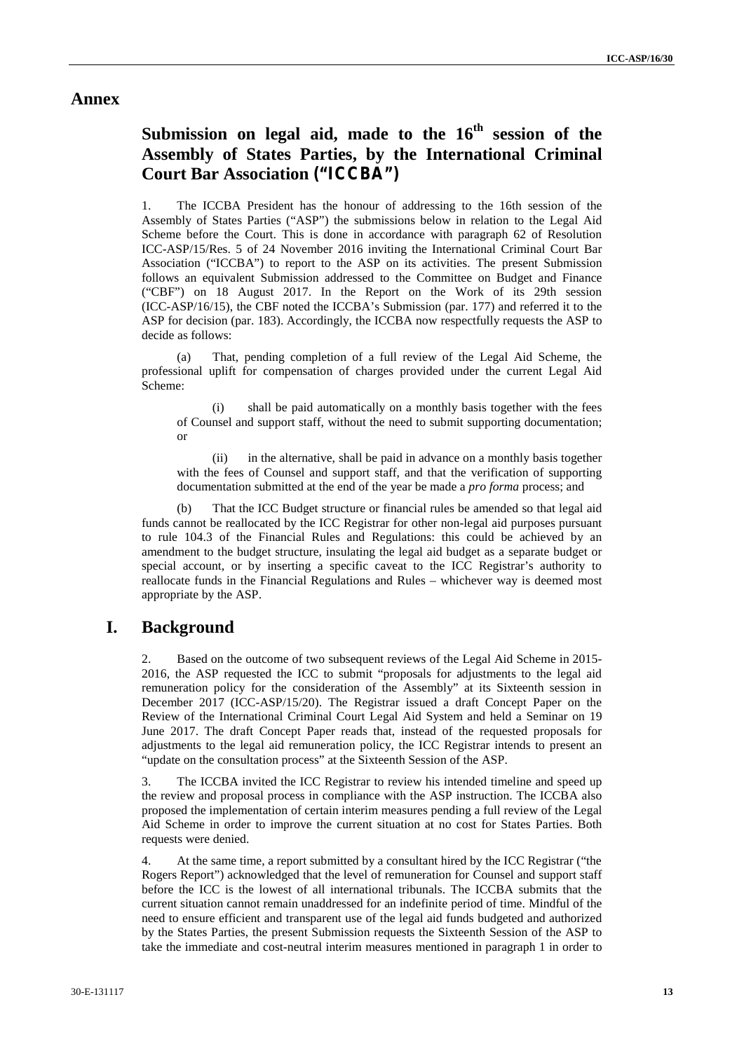## **Annex**

# **Submission on legal aid, made to the 16th session of the Assembly of States Parties, by the International Criminal Court Bar Association ("ICCBA")**

1. The ICCBA President has the honour of addressing to the 16th session of the Assembly of States Parties ("ASP") the submissions below in relation to the Legal Aid Scheme before the Court. This is done in accordance with paragraph 62 of Resolution ICC-ASP/15/Res. 5 of 24 November 2016 inviting the International Criminal Court Bar Association ("ICCBA") to report to the ASP on its activities. The present Submission follows an equivalent Submission addressed to the Committee on Budget and Finance ("CBF") on 18 August 2017. In the Report on the Work of its 29th session (ICC-ASP/16/15), the CBF noted the ICCBA's Submission (par. 177) and referred it to the ASP for decision (par. 183). Accordingly, the ICCBA now respectfully requests the ASP to decide as follows:

(a) That, pending completion of a full review of the Legal Aid Scheme, the professional uplift for compensation of charges provided under the current Legal Aid Scheme:

(i) shall be paid automatically on a monthly basis together with the fees of Counsel and support staff, without the need to submit supporting documentation; or

(ii) in the alternative, shall be paid in advance on a monthly basis together with the fees of Counsel and support staff, and that the verification of supporting documentation submitted at the end of the year be made a *pro forma* process; and

(b) That the ICC Budget structure or financial rules be amended so that legal aid funds cannot be reallocated by the ICC Registrar for other non-legal aid purposes pursuant to rule 104.3 of the Financial Rules and Regulations: this could be achieved by an amendment to the budget structure, insulating the legal aid budget as a separate budget or special account, or by inserting a specific caveat to the ICC Registrar's authority to reallocate funds in the Financial Regulations and Rules – whichever way is deemed most appropriate by the ASP.

## **I. Background**

2. Based on the outcome of two subsequent reviews of the Legal Aid Scheme in 2015- 2016, the ASP requested the ICC to submit "proposals for adjustments to the legal aid remuneration policy for the consideration of the Assembly" at its Sixteenth session in December 2017 (ICC-ASP/15/20). The Registrar issued a draft Concept Paper on the Review of the International Criminal Court Legal Aid System and held a Seminar on 19 June 2017. The draft Concept Paper reads that, instead of the requested proposals for adjustments to the legal aid remuneration policy, the ICC Registrar intends to present an "update on the consultation process" at the Sixteenth Session of the ASP.

3. The ICCBA invited the ICC Registrar to review his intended timeline and speed up the review and proposal process in compliance with the ASP instruction. The ICCBA also proposed the implementation of certain interim measures pending a full review of the Legal Aid Scheme in order to improve the current situation at no cost for States Parties. Both requests were denied.

4. At the same time, a report submitted by a consultant hired by the ICC Registrar ("the Rogers Report") acknowledged that the level of remuneration for Counsel and support staff before the ICC is the lowest of all international tribunals. The ICCBA submits that the current situation cannot remain unaddressed for an indefinite period of time. Mindful of the need to ensure efficient and transparent use of the legal aid funds budgeted and authorized by the States Parties, the present Submission requests the Sixteenth Session of the ASP to take the immediate and cost-neutral interim measures mentioned in paragraph 1 in order to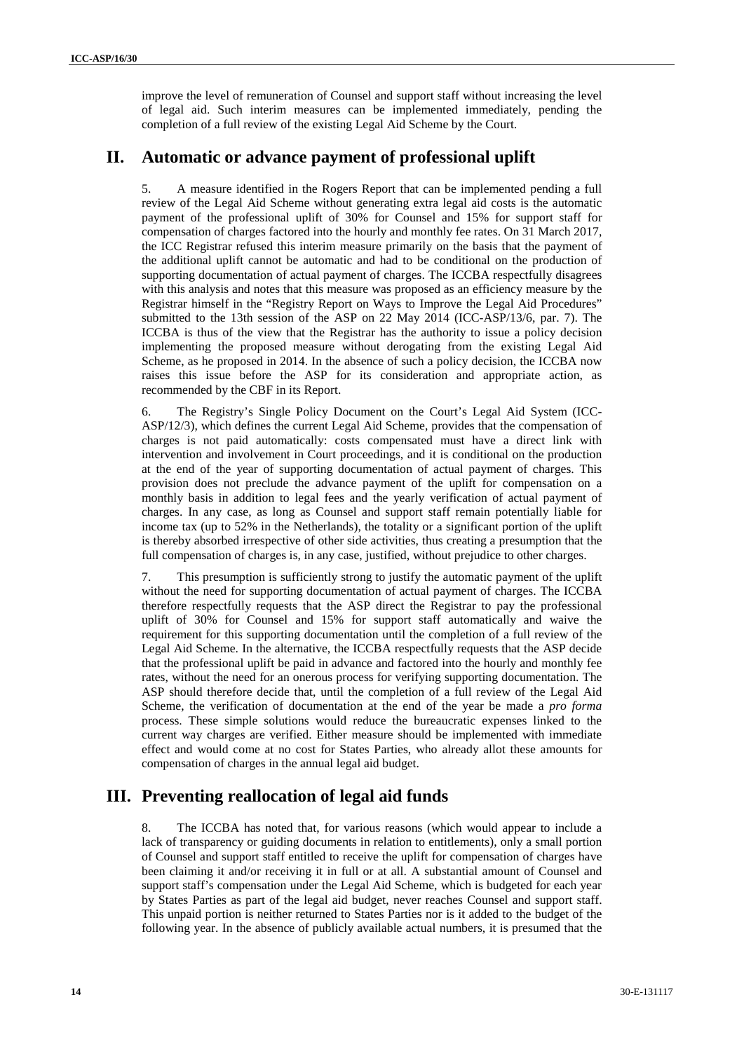improve the level of remuneration of Counsel and support staff without increasing the level of legal aid. Such interim measures can be implemented immediately, pending the completion of a full review of the existing Legal Aid Scheme by the Court.

# **II. Automatic or advance payment of professional uplift**

5. A measure identified in the Rogers Report that can be implemented pending a full review of the Legal Aid Scheme without generating extra legal aid costs is the automatic payment of the professional uplift of 30% for Counsel and 15% for support staff for compensation of charges factored into the hourly and monthly fee rates. On 31 March 2017, the ICC Registrar refused this interim measure primarily on the basis that the payment of the additional uplift cannot be automatic and had to be conditional on the production of supporting documentation of actual payment of charges. The ICCBA respectfully disagrees with this analysis and notes that this measure was proposed as an efficiency measure by the Registrar himself in the "Registry Report on Ways to Improve the Legal Aid Procedures" submitted to the 13th session of the ASP on 22 May 2014 (ICC-ASP/13/6, par. 7). The ICCBA is thus of the view that the Registrar has the authority to issue a policy decision implementing the proposed measure without derogating from the existing Legal Aid Scheme, as he proposed in 2014. In the absence of such a policy decision, the ICCBA now raises this issue before the ASP for its consideration and appropriate action, as recommended by the CBF in its Report.

6. The Registry's Single Policy Document on the Court's Legal Aid System (ICC- ASP/12/3), which defines the current Legal Aid Scheme, provides that the compensation of charges is not paid automatically: costs compensated must have a direct link with intervention and involvement in Court proceedings, and it is conditional on the production at the end of the year of supporting documentation of actual payment of charges. This provision does not preclude the advance payment of the uplift for compensation on a monthly basis in addition to legal fees and the yearly verification of actual payment of charges. In any case, as long as Counsel and support staff remain potentially liable for income tax (up to 52% in the Netherlands), the totality or a significant portion of the uplift is thereby absorbed irrespective of other side activities, thus creating a presumption that the full compensation of charges is, in any case, justified, without prejudice to other charges.

7. This presumption is sufficiently strong to justify the automatic payment of the uplift without the need for supporting documentation of actual payment of charges. The ICCBA therefore respectfully requests that the ASP direct the Registrar to pay the professional uplift of 30% for Counsel and 15% for support staff automatically and waive the requirement for this supporting documentation until the completion of a full review of the Legal Aid Scheme. In the alternative, the ICCBA respectfully requests that the ASP decide that the professional uplift be paid in advance and factored into the hourly and monthly fee rates, without the need for an onerous process for verifying supporting documentation. The ASP should therefore decide that, until the completion of a full review of the Legal Aid Scheme, the verification of documentation at the end of the year be made a *pro forma* process. These simple solutions would reduce the bureaucratic expenses linked to the current way charges are verified. Either measure should be implemented with immediate effect and would come at no cost for States Parties, who already allot these amounts for compensation of charges in the annual legal aid budget.

# **III. Preventing reallocation of legal aid funds**

8. The ICCBA has noted that, for various reasons (which would appear to include a lack of transparency or guiding documents in relation to entitlements), only a small portion of Counsel and support staff entitled to receive the uplift for compensation of charges have been claiming it and/or receiving it in full or at all. A substantial amount of Counsel and support staff's compensation under the Legal Aid Scheme, which is budgeted for each year by States Parties as part of the legal aid budget, never reaches Counsel and support staff. This unpaid portion is neither returned to States Parties nor is it added to the budget of the following year. In the absence of publicly available actual numbers, it is presumed that the